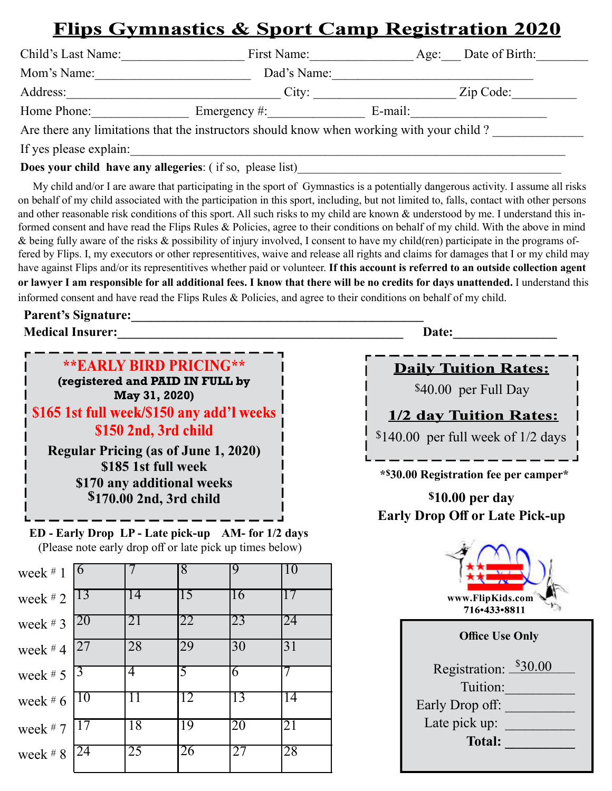## **Flips Gymnastics & Sport Camp Registration 2020**

| Child's Last Name:                                               | First Name:                                                                              | Age:    | Date of Birth: |
|------------------------------------------------------------------|------------------------------------------------------------------------------------------|---------|----------------|
| Mom's Name:                                                      | Dad's Name:                                                                              |         |                |
| Address:                                                         | City:                                                                                    |         | Zip Code:      |
| Home Phone:                                                      | Emergency $\#$ :                                                                         | E-mail: |                |
|                                                                  | Are there any limitations that the instructors should know when working with your child? |         |                |
| If yes please explain:                                           |                                                                                          |         |                |
| <b>Does your child have any allegeries:</b> (if so, please list) |                                                                                          |         |                |

My child and/or I are aware that participating in the sport of Gymnastics is a potentially dangerous activity. I assume all risks on behalf of my child associated with the participation in this sport, including, but not limited to, falls, contact with other persons and other reasonable risk conditions of this sport. All such risks to my child are known & understood by me. I understand this informed consent and have read the Flips Rules & Policies, agree to their conditions on behalf of my child. With the above in mind & being fully aware of the risks & possibility of injury involved, I consent to have my child(ren) participate in the programs offered by Flips. I, my executors or other representitives, waive and release all rights and claims for damages that I or my child may have against Flips and/or its representitives whether paid or volunteer. **If this account is referred to an outside collection agent or lawyer I am responsible for all additional fees. I know that there will be no credits for days unattended.** I understand this

informed consent and have read the Flips Rules & Policies, and agree to their conditions on behalf of my child.

#### **Parent's Signature:**

**Medical Insurer:\_\_\_\_\_\_\_\_\_\_\_\_\_\_\_\_\_\_\_\_\_\_\_\_\_\_\_\_\_\_\_\_\_\_\_\_\_\_\_\_\_\_\_\_ Date:\_\_\_\_\_\_\_\_\_\_\_\_\_\_\_\_**

*\*\* EARLY BIRD PRICING\*\** **(registered and PAID IN FULL by May 31, 2020)** \$165 1st full week/\$150 any add'l weeks \$150 2nd, 3rd child **Regular Pricing (as of June 1, 2020) \$185 1st full week \$170 any additional weeks \$170.00 2nd, 3rd child**

**ED - Early Drop LP - Late pick-up AM- for 1/2 days** (Please note early drop off or late pick up times below)

| week #1    | b  |    | 8  | Y  |    |
|------------|----|----|----|----|----|
| week #2    | 13 | 14 | 15 | 16 | 17 |
| week $# 3$ | 20 | 21 | 22 | 23 | 24 |
| week #4    | 27 | 28 | 29 | 30 | 31 |
|            |    |    |    |    |    |
| week $# 5$ | 3  | 4  | 5  | 6  |    |
| week $# 6$ | 10 |    | 12 | 13 | 14 |
| week #7    |    | 18 | 19 | 20 | 21 |

#### **Daily Tuition Rates:**

\$40.00 per Full Day

#### **1/2 day Tuition Rates:**

\$140.00 per full week of 1/2 days

**\*\$30.00 Registration fee per camper\*** 

**\$10.00 per day Early Drop Off or Late Pick-up**



| <b>Office Use Only</b> |  |  |  |
|------------------------|--|--|--|
| Registration: \$30.00  |  |  |  |
| Tuition:               |  |  |  |
| Early Drop off:        |  |  |  |
| Late pick up:          |  |  |  |
| <b>Total:</b>          |  |  |  |
|                        |  |  |  |